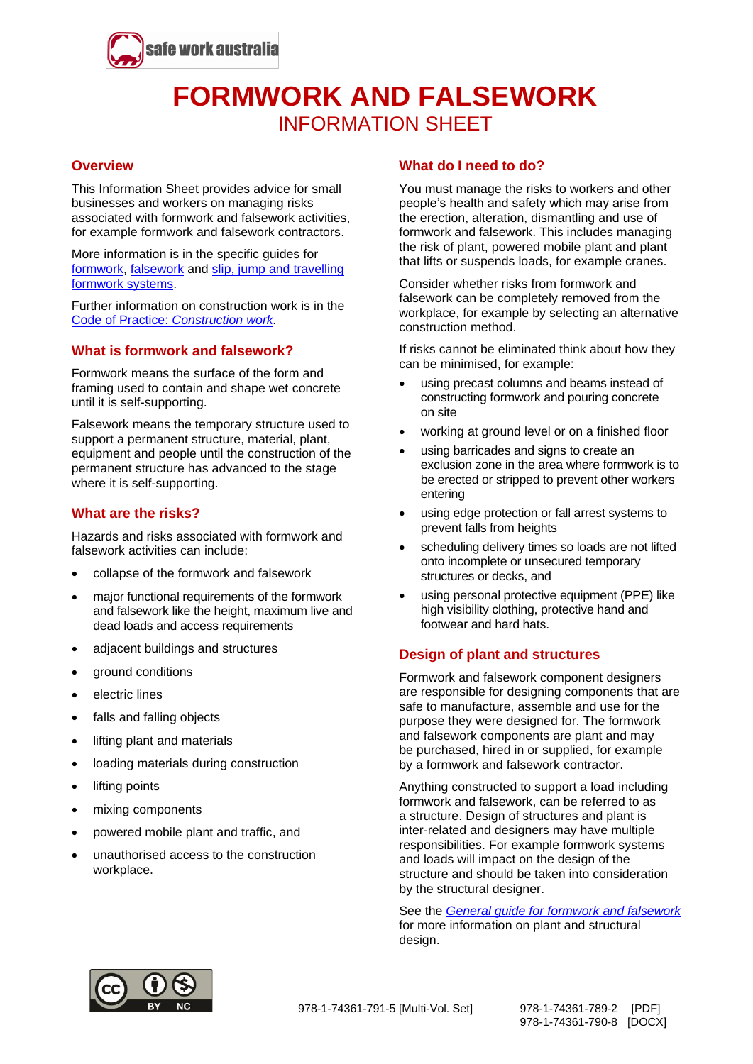

# **FORMWORK AND FALSEWORK** INFORMATION SHEET

## **Overview**

This Information Sheet provides advice for small businesses and workers on managing risks associated with formwork and falsework activities, for example formwork and falsework contractors.

More information is in the specific guides for [formwork,](http://www.safeworkaustralia.gov.au/resources-and-publications/guidance-materials/formwork-guide) [falsework](http://www.safeworkaustralia.gov.au/resources-and-publications/guidance-materials/guide-falsework) and [slip, jump and travelling](http://www.safeworkaustralia.gov.au/resources-and-publications/guidance-materials/guide-slip-jump-and-travelling-formwork-systems)  [formwork systems.](http://www.safeworkaustralia.gov.au/resources-and-publications/guidance-materials/guide-slip-jump-and-travelling-formwork-systems)

Further information on construction work is in the Code of Practice: *[Construction work.](http://www.safeworkaustralia.gov.au/resources-and-publications/model-codes-practice/model-code-practice-construction-work)*

## **What is formwork and falsework?**

Formwork means the surface of the form and framing used to contain and shape wet concrete until it is self-supporting.

Falsework means the temporary structure used to support a permanent structure, material, plant, equipment and people until the construction of the permanent structure has advanced to the stage where it is self-supporting.

## **What are the risks?**

Hazards and risks associated with formwork and falsework activities can include:

- collapse of the formwork and falsework
- major functional requirements of the formwork and falsework like the height, maximum live and dead loads and access requirements
- adjacent buildings and structures
- ground conditions
- electric lines
- falls and falling objects
- lifting plant and materials
- loading materials during construction
- lifting points
- mixing components
- powered mobile plant and traffic, and
- unauthorised access to the construction workplace.

#### **What do I need to do?**

You must manage the risks to workers and other people's health and safety which may arise from the erection, alteration, dismantling and use of formwork and falsework. This includes managing the risk of plant, powered mobile plant and plant that lifts or suspends loads, for example cranes.

Consider whether risks from formwork and falsework can be completely removed from the workplace, for example by selecting an alternative construction method.

If risks cannot be eliminated think about how they can be minimised, for example:

- using precast columns and beams instead of constructing formwork and pouring concrete on site
- working at ground level or on a finished floor
- using barricades and signs to create an exclusion zone in the area where formwork is to be erected or stripped to prevent other workers entering
- using edge protection or fall arrest systems to prevent falls from heights
- scheduling delivery times so loads are not lifted onto incomplete or unsecured temporary structures or decks, and
- using personal protective equipment (PPE) like high visibility clothing, protective hand and footwear and hard hats.

#### **Design of plant and structures**

Formwork and falsework component designers are responsible for designing components that are safe to manufacture, assemble and use for the purpose they were designed for. The formwork and falsework components are plant and may be purchased, hired in or supplied, for example by a formwork and falsework contractor.

Anything constructed to support a load including formwork and falsework, can be referred to as a structure. Design of structures and plant is inter-related and designers may have multiple responsibilities. For example formwork systems and loads will impact on the design of the structure and should be taken into consideration by the structural designer.

See the *General guide for [formwork and falsework](http://www.safeworkaustralia.gov.au/resources-and-publications/guidance-materials/scaffolds-and-scaffolding-work-general-guide)* for more information on plant and structural design.